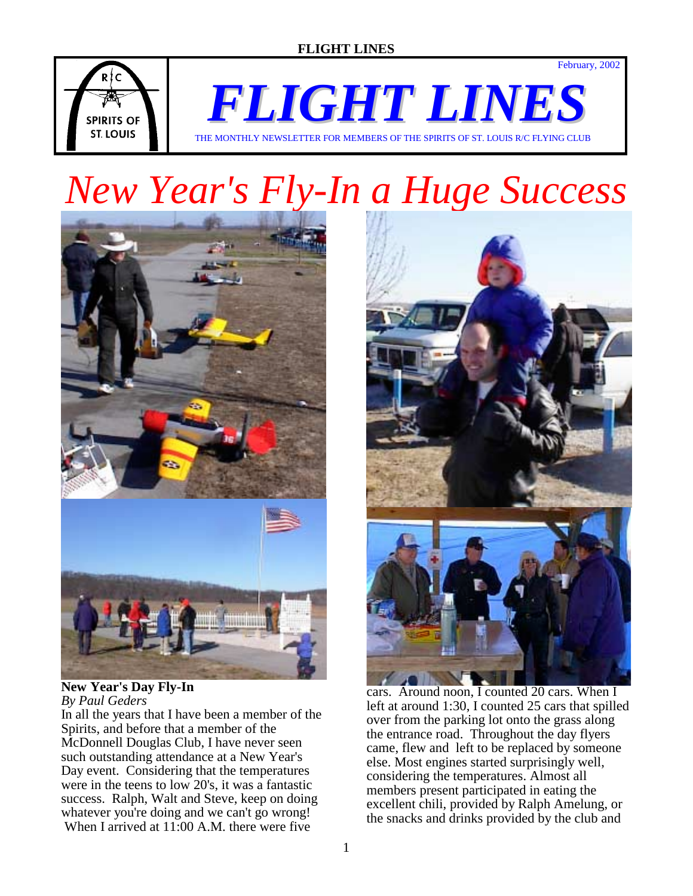



*FLIGHT LINES* THE MONTHLY NEWSLETTER FOR MEMBERS OF THE SPIRITS OF ST. LOUIS R/C FLYING CLUB

# *New Year's Fly-In a Huge Success*



#### **New Year's Day Fly-In**  *By Paul Geders*

In all the years that I have been a member of the Spirits, and before that a member of the McDonnell Douglas Club, I have never seen such outstanding attendance at a New Year's Day event. Considering that the temperatures were in the teens to low 20's, it was a fantastic success. Ralph, Walt and Steve, keep on doing whatever you're doing and we can't go wrong! When I arrived at 11:00 A.M. there were five



cars. Around noon, I counted 20 cars. When I left at around 1:30, I counted 25 cars that spilled over from the parking lot onto the grass along the entrance road. Throughout the day flyers came, flew and left to be replaced by someone else. Most engines started surprisingly well, considering the temperatures. Almost all members present participated in eating the excellent chili, provided by Ralph Amelung, or the snacks and drinks provided by the club and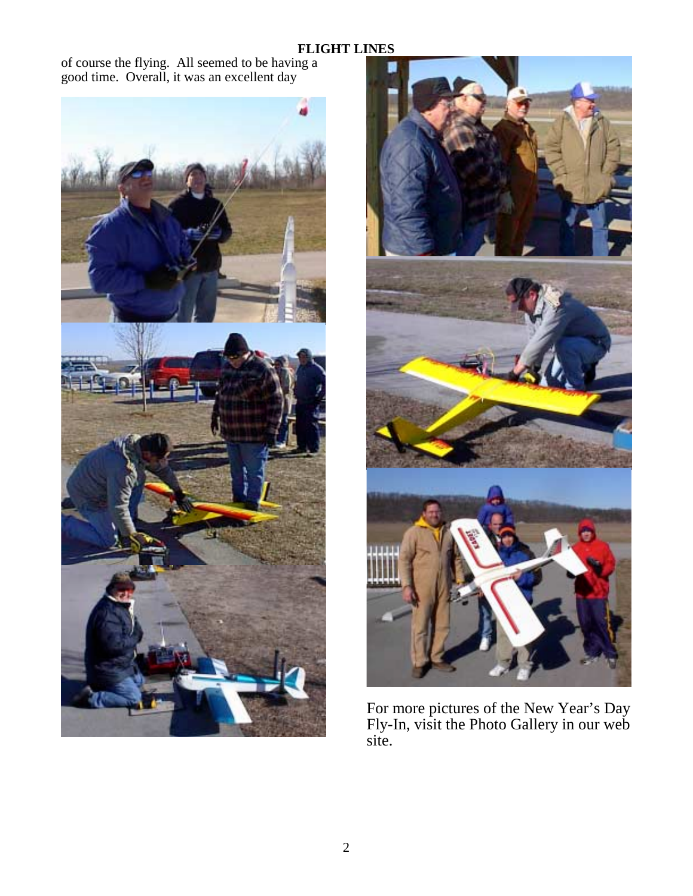of course the flying. All seemed to be having a good time. Overall, it was an excellent day





For more pictures of the New Year's Day Fly-In, visit the Photo Gallery in our web site.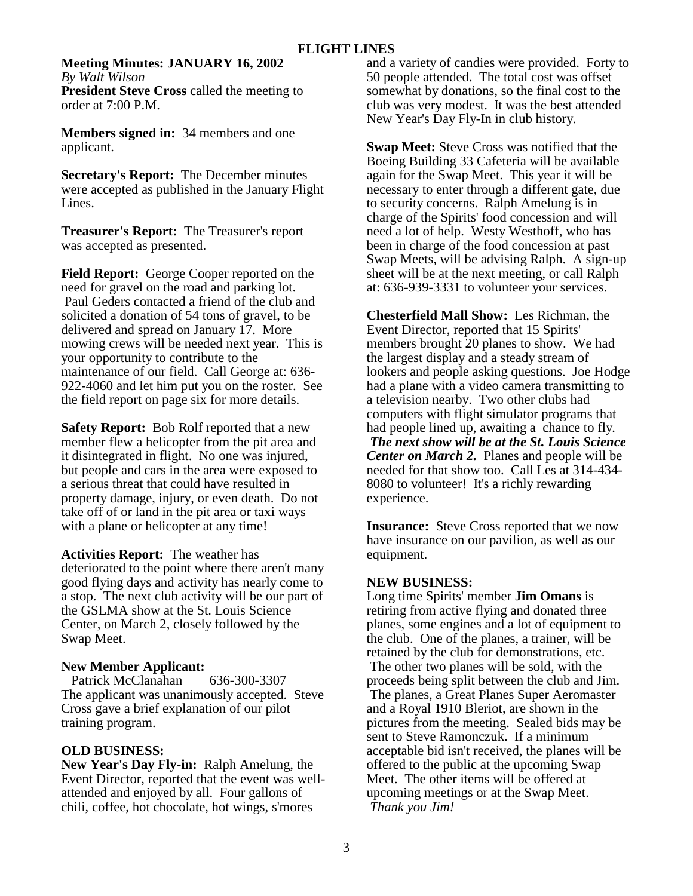# **Meeting Minutes: JANUARY 16, 2002** *By Walt Wilson*

**President Steve Cross** called the meeting to order at 7:00 P.M.

**Members signed in:** 34 members and one applicant.

**Secretary's Report:** The December minutes were accepted as published in the January Flight Lines.

**Treasurer's Report:** The Treasurer's report was accepted as presented.

**Field Report:** George Cooper reported on the need for gravel on the road and parking lot. Paul Geders contacted a friend of the club and solicited a donation of 54 tons of gravel, to be delivered and spread on January 17. More mowing crews will be needed next year. This is your opportunity to contribute to the maintenance of our field. Call George at: 636- 922-4060 and let him put you on the roster. See the field report on page six for more details.

**Safety Report:** Bob Rolf reported that a new member flew a helicopter from the pit area and it disintegrated in flight. No one was injured, but people and cars in the area were exposed to a serious threat that could have resulted in property damage, injury, or even death. Do not take off of or land in the pit area or taxi ways with a plane or helicopter at any time!

**Activities Report:** The weather has deteriorated to the point where there aren't many good flying days and activity has nearly come to a stop. The next club activity will be our part of the GSLMA show at the St. Louis Science Center, on March 2, closely followed by the Swap Meet.

# **New Member Applicant:**

Patrick McClanahan 636-300-3307 The applicant was unanimously accepted. Steve Cross gave a brief explanation of our pilot training program.

# **OLD BUSINESS:**

**New Year's Day Fly-in:** Ralph Amelung, the Event Director, reported that the event was wellattended and enjoyed by all. Four gallons of chili, coffee, hot chocolate, hot wings, s'mores

and a variety of candies were provided. Forty to 50 people attended. The total cost was offset somewhat by donations, so the final cost to the club was very modest. It was the best attended New Year's Day Fly-In in club history.

**Swap Meet:** Steve Cross was notified that the Boeing Building 33 Cafeteria will be available again for the Swap Meet. This year it will be necessary to enter through a different gate, due to security concerns. Ralph Amelung is in charge of the Spirits' food concession and will need a lot of help. Westy Westhoff, who has been in charge of the food concession at past Swap Meets, will be advising Ralph. A sign-up sheet will be at the next meeting, or call Ralph at: 636-939-3331 to volunteer your services.

**Chesterfield Mall Show:** Les Richman, the Event Director, reported that 15 Spirits' members brought 20 planes to show. We had the largest display and a steady stream of lookers and people asking questions. Joe Hodge had a plane with a video camera transmitting to a television nearby. Two other clubs had computers with flight simulator programs that had people lined up, awaiting a chance to fly*. The next show will be at the St. Louis Science Center on March 2.* Planes and people will be needed for that show too. Call Les at 314-434- 8080 to volunteer! It's a richly rewarding experience.

**Insurance:** Steve Cross reported that we now have insurance on our pavilion, as well as our equipment.

# **NEW BUSINESS:**

Long time Spirits' member **Jim Omans** is retiring from active flying and donated three planes, some engines and a lot of equipment to the club. One of the planes, a trainer, will be retained by the club for demonstrations, etc. The other two planes will be sold, with the proceeds being split between the club and Jim. The planes, a Great Planes Super Aeromaster and a Royal 1910 Bleriot, are shown in the pictures from the meeting. Sealed bids may be sent to Steve Ramonczuk. If a minimum acceptable bid isn't received, the planes will be offered to the public at the upcoming Swap Meet. The other items will be offered at upcoming meetings or at the Swap Meet.  *Thank you Jim!*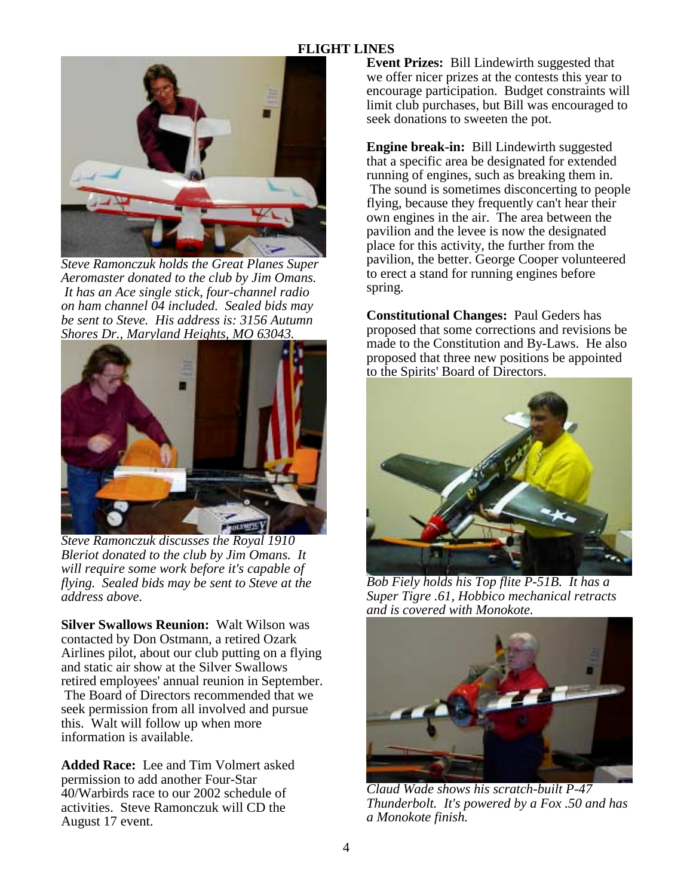

*Steve Ramonczuk holds the Great Planes Super Aeromaster donated to the club by Jim Omans. It has an Ace single stick, four-channel radio on ham channel 04 included. Sealed bids may be sent to Steve. His address is: 3156 Autumn Shores Dr., Maryland Heights, MO 63043.* 



*Steve Ramonczuk discusses the Royal 1910 Bleriot donated to the club by Jim Omans. It will require some work before it's capable of flying. Sealed bids may be sent to Steve at the address above.* 

**Silver Swallows Reunion:** Walt Wilson was contacted by Don Ostmann, a retired Ozark Airlines pilot, about our club putting on a flying and static air show at the Silver Swallows retired employees' annual reunion in September. The Board of Directors recommended that we seek permission from all involved and pursue this. Walt will follow up when more information is available.

**Added Race:** Lee and Tim Volmert asked permission to add another Four-Star 40/Warbirds race to our 2002 schedule of activities. Steve Ramonczuk will CD the August 17 event.

**Event Prizes:** Bill Lindewirth suggested that we offer nicer prizes at the contests this year to encourage participation. Budget constraints will limit club purchases, but Bill was encouraged to seek donations to sweeten the pot.

**Engine break-in:** Bill Lindewirth suggested that a specific area be designated for extended running of engines, such as breaking them in. The sound is sometimes disconcerting to people flying, because they frequently can't hear their own engines in the air. The area between the pavilion and the levee is now the designated place for this activity, the further from the pavilion, the better. George Cooper volunteered to erect a stand for running engines before spring.

**Constitutional Changes:** Paul Geders has proposed that some corrections and revisions be made to the Constitution and By-Laws. He also proposed that three new positions be appointed to the Spirits' Board of Directors.



*Bob Fiely holds his Top flite P-51B. It has a Super Tigre .61, Hobbico mechanical retracts and is covered with Monokote.*



*Claud Wade shows his scratch-built P-47 Thunderbolt. It's powered by a Fox .50 and has a Monokote finish.*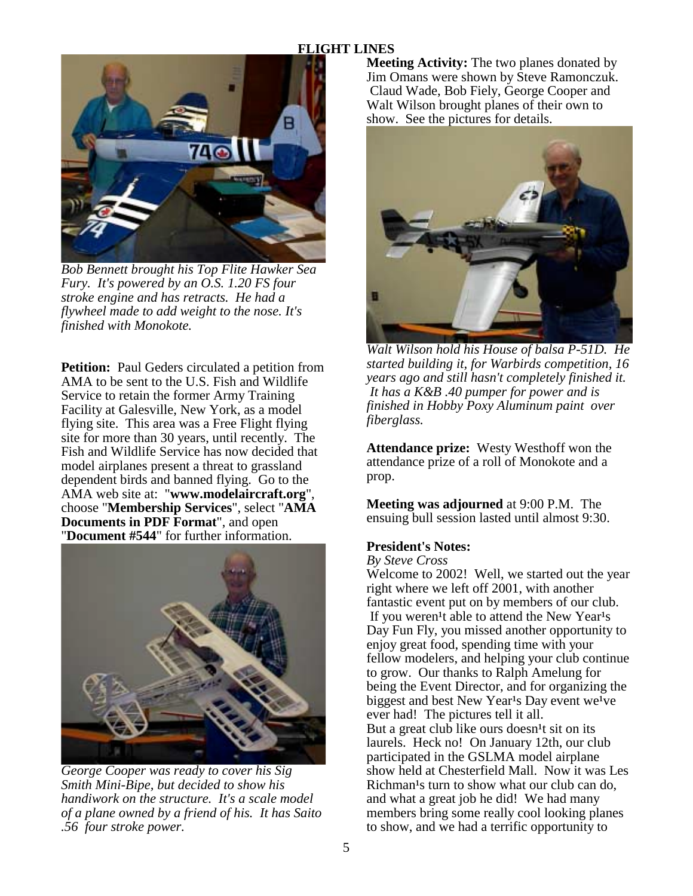

*Bob Bennett brought his Top Flite Hawker Sea Fury. It's powered by an O.S. 1.20 FS four stroke engine and has retracts. He had a flywheel made to add weight to the nose. It's finished with Monokote.* 

**Petition:** Paul Geders circulated a petition from AMA to be sent to the U.S. Fish and Wildlife Service to retain the former Army Training Facility at Galesville, New York, as a model flying site. This area was a Free Flight flying site for more than 30 years, until recently. The Fish and Wildlife Service has now decided that model airplanes present a threat to grassland dependent birds and banned flying. Go to the AMA web site at: "**www.modelaircraft.org**", choose "**Membership Services**", select "**AMA Documents in PDF Format**", and open "**Document #544**" for further information.



*George Cooper was ready to cover his Sig Smith Mini-Bipe, but decided to show his handiwork on the structure. It's a scale model of a plane owned by a friend of his. It has Saito .56 four stroke power.* 

**Meeting Activity:** The two planes donated by Jim Omans were shown by Steve Ramonczuk. Claud Wade, Bob Fiely, George Cooper and Walt Wilson brought planes of their own to show. See the pictures for details.



*Walt Wilson hold his House of balsa P-51D. He started building it, for Warbirds competition, 16 years ago and still hasn't completely finished it. It has a K&B .40 pumper for power and is finished in Hobby Poxy Aluminum paint over fiberglass.* 

**Attendance prize:** Westy Westhoff won the attendance prize of a roll of Monokote and a prop.

**Meeting was adjourned** at 9:00 P.M. The ensuing bull session lasted until almost 9:30.

#### **President's Notes:**

*By Steve Cross*

Welcome to 2002! Well, we started out the year right where we left off 2001, with another fantastic event put on by members of our club. If you weren<sup>1</sup>t able to attend the New Year<sup>1</sup>s Day Fun Fly, you missed another opportunity to enjoy great food, spending time with your fellow modelers, and helping your club continue to grow. Our thanks to Ralph Amelung for being the Event Director, and for organizing the biggest and best New Year<sup>1</sup>s Day event we<sup>1</sup>ve ever had! The pictures tell it all. But a great club like ours doesn<sup>1</sup>t sit on its laurels. Heck no! On January 12th, our club participated in the GSLMA model airplane show held at Chesterfield Mall. Now it was Les Richman<sup>1</sup>s turn to show what our club can do, and what a great job he did! We had many members bring some really cool looking planes to show, and we had a terrific opportunity to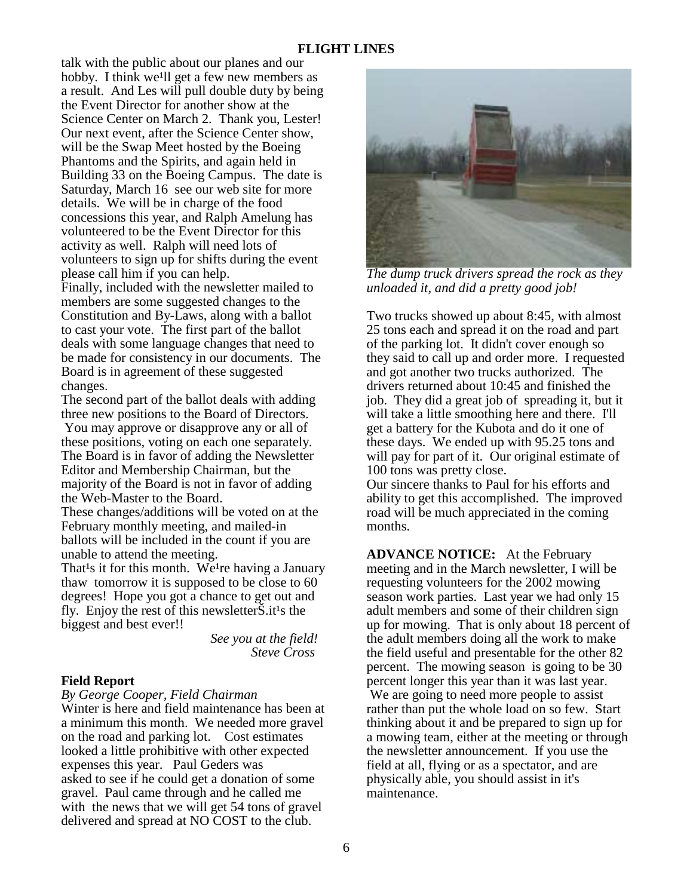talk with the public about our planes and our hobby. I think we'll get a few new members as a result. And Les will pull double duty by being the Event Director for another show at the Science Center on March 2. Thank you, Lester! Our next event, after the Science Center show, will be the Swap Meet hosted by the Boeing Phantoms and the Spirits, and again held in Building 33 on the Boeing Campus. The date is Saturday, March 16 see our web site for more details. We will be in charge of the food concessions this year, and Ralph Amelung has volunteered to be the Event Director for this activity as well. Ralph will need lots of volunteers to sign up for shifts during the event please call him if you can help.

Finally, included with the newsletter mailed to members are some suggested changes to the Constitution and By-Laws, along with a ballot to cast your vote. The first part of the ballot deals with some language changes that need to be made for consistency in our documents. The Board is in agreement of these suggested changes.

The second part of the ballot deals with adding three new positions to the Board of Directors. You may approve or disapprove any or all of these positions, voting on each one separately. The Board is in favor of adding the Newsletter Editor and Membership Chairman, but the majority of the Board is not in favor of adding the Web-Master to the Board.

These changes/additions will be voted on at the February monthly meeting, and mailed-in ballots will be included in the count if you are unable to attend the meeting.

That<sup>1</sup>s it for this month. We<sup>1</sup>re having a January thaw tomorrow it is supposed to be close to 60 degrees! Hope you got a chance to get out and fly. Enjoy the rest of this newsletter $\dot{S}$ . it<sup>1</sup>s the biggest and best ever!!

> *See you at the field! Steve Cross*

#### **Field Report**

#### *By George Cooper, Field Chairman*

Winter is here and field maintenance has been at a minimum this month. We needed more gravel on the road and parking lot. Cost estimates looked a little prohibitive with other expected expenses this year. Paul Geders was asked to see if he could get a donation of some gravel. Paul came through and he called me with the news that we will get 54 tons of gravel delivered and spread at NO COST to the club.



*The dump truck drivers spread the rock as they unloaded it, and did a pretty good job!* 

Two trucks showed up about 8:45, with almost 25 tons each and spread it on the road and part of the parking lot. It didn't cover enough so they said to call up and order more. I requested and got another two trucks authorized. The drivers returned about 10:45 and finished the job. They did a great job of spreading it, but it will take a little smoothing here and there. I'll get a battery for the Kubota and do it one of these days. We ended up with 95.25 tons and will pay for part of it. Our original estimate of 100 tons was pretty close.

Our sincere thanks to Paul for his efforts and ability to get this accomplished. The improved road will be much appreciated in the coming months.

**ADVANCE NOTICE:** At the February meeting and in the March newsletter, I will be requesting volunteers for the 2002 mowing season work parties. Last year we had only 15 adult members and some of their children sign up for mowing. That is only about 18 percent of the adult members doing all the work to make the field useful and presentable for the other 82 percent. The mowing season is going to be 30 percent longer this year than it was last year.

 We are going to need more people to assist rather than put the whole load on so few. Start thinking about it and be prepared to sign up for a mowing team, either at the meeting or through the newsletter announcement. If you use the field at all, flying or as a spectator, and are physically able, you should assist in it's maintenance.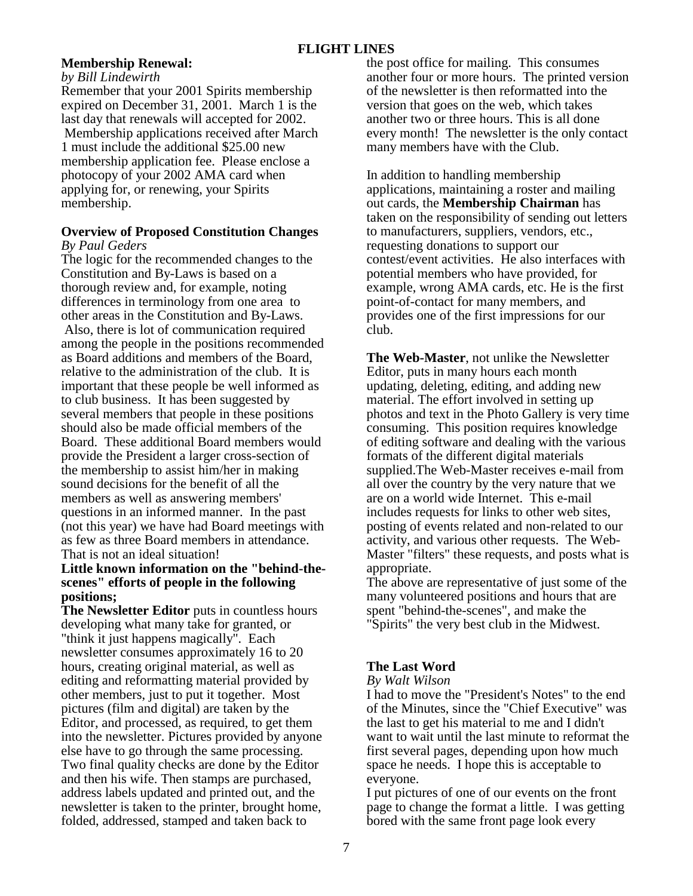# **Membership Renewal:**

#### *by Bill Lindewirth*

Remember that your 2001 Spirits membership expired on December 31, 2001. March 1 is the last day that renewals will accepted for 2002. Membership applications received after March 1 must include the additional \$25.00 new membership application fee. Please enclose a photocopy of your 2002 AMA card when applying for, or renewing, your Spirits membership.

#### **Overview of Proposed Constitution Changes** *By Paul Geders*

The logic for the recommended changes to the Constitution and By-Laws is based on a thorough review and, for example, noting differences in terminology from one area to other areas in the Constitution and By-Laws. Also, there is lot of communication required among the people in the positions recommended as Board additions and members of the Board, relative to the administration of the club. It is important that these people be well informed as to club business. It has been suggested by several members that people in these positions should also be made official members of the Board. These additional Board members would provide the President a larger cross-section of the membership to assist him/her in making sound decisions for the benefit of all the members as well as answering members' questions in an informed manner. In the past (not this year) we have had Board meetings with as few as three Board members in attendance. That is not an ideal situation!

## **Little known information on the "behind-thescenes" efforts of people in the following positions;**

**The Newsletter Editor** puts in countless hours developing what many take for granted, or "think it just happens magically". Each newsletter consumes approximately 16 to 20 hours, creating original material, as well as editing and reformatting material provided by other members, just to put it together. Most pictures (film and digital) are taken by the Editor, and processed, as required, to get them into the newsletter. Pictures provided by anyone else have to go through the same processing. Two final quality checks are done by the Editor and then his wife. Then stamps are purchased, address labels updated and printed out, and the newsletter is taken to the printer, brought home, folded, addressed, stamped and taken back to

the post office for mailing. This consumes another four or more hours. The printed version of the newsletter is then reformatted into the version that goes on the web, which takes another two or three hours. This is all done every month! The newsletter is the only contact many members have with the Club.

In addition to handling membership applications, maintaining a roster and mailing out cards, the **Membership Chairman** has taken on the responsibility of sending out letters to manufacturers, suppliers, vendors, etc., requesting donations to support our contest/event activities. He also interfaces with potential members who have provided, for example, wrong AMA cards, etc. He is the first point-of-contact for many members, and provides one of the first impressions for our club.

**The Web-Master**, not unlike the Newsletter Editor, puts in many hours each month updating, deleting, editing, and adding new material. The effort involved in setting up photos and text in the Photo Gallery is very time consuming. This position requires knowledge of editing software and dealing with the various formats of the different digital materials supplied.The Web-Master receives e-mail from all over the country by the very nature that we are on a world wide Internet. This e-mail includes requests for links to other web sites, posting of events related and non-related to our activity, and various other requests. The Web-Master "filters" these requests, and posts what is appropriate.

The above are representative of just some of the many volunteered positions and hours that are spent "behind-the-scenes", and make the "Spirits" the very best club in the Midwest.

# **The Last Word**

#### *By Walt Wilson*

I had to move the "President's Notes" to the end of the Minutes, since the "Chief Executive" was the last to get his material to me and I didn't want to wait until the last minute to reformat the first several pages, depending upon how much space he needs. I hope this is acceptable to everyone.

I put pictures of one of our events on the front page to change the format a little. I was getting bored with the same front page look every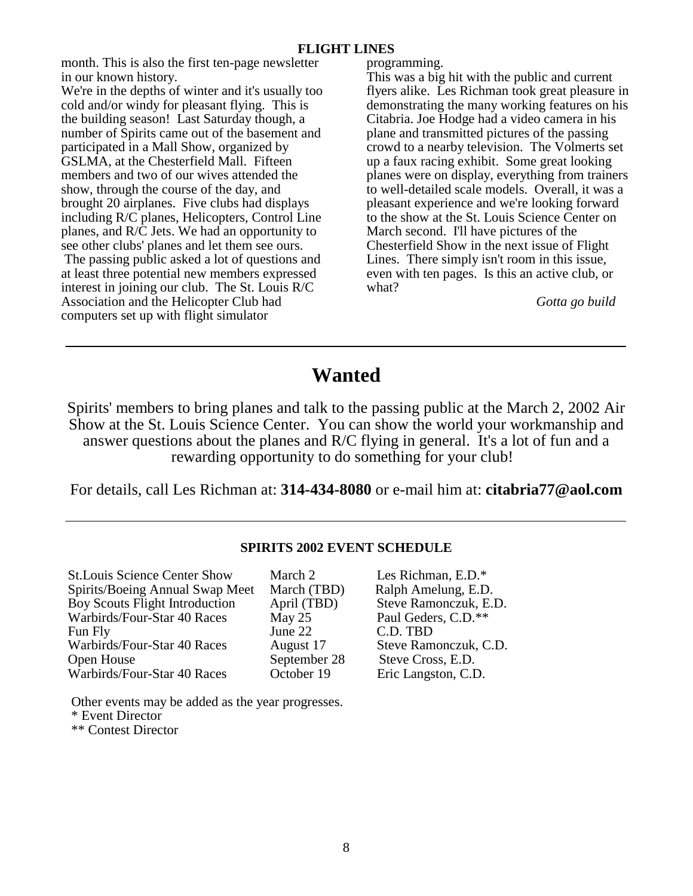month. This is also the first ten-page newsletter in our known history.

We're in the depths of winter and it's usually too cold and/or windy for pleasant flying. This is the building season! Last Saturday though, a number of Spirits came out of the basement and participated in a Mall Show, organized by GSLMA, at the Chesterfield Mall. Fifteen members and two of our wives attended the show, through the course of the day, and brought 20 airplanes. Five clubs had displays including R/C planes, Helicopters, Control Line planes, and R/C Jets. We had an opportunity to see other clubs' planes and let them see ours. The passing public asked a lot of questions and

at least three potential new members expressed interest in joining our club. The St. Louis R/C Association and the Helicopter Club had computers set up with flight simulator

programming.

This was a big hit with the public and current flyers alike. Les Richman took great pleasure in demonstrating the many working features on his Citabria. Joe Hodge had a video camera in his plane and transmitted pictures of the passing crowd to a nearby television. The Volmerts set up a faux racing exhibit. Some great looking planes were on display, everything from trainers to well-detailed scale models. Overall, it was a pleasant experience and we're looking forward to the show at the St. Louis Science Center on March second. I'll have pictures of the Chesterfield Show in the next issue of Flight Lines. There simply isn't room in this issue, even with ten pages. Is this an active club, or what?

*Gotta go build*

# **Wanted**

Spirits' members to bring planes and talk to the passing public at the March 2, 2002 Air Show at the St. Louis Science Center. You can show the world your workmanship and answer questions about the planes and R/C flying in general. It's a lot of fun and a rewarding opportunity to do something for your club!

For details, call Les Richman at: **314-434-8080** or e-mail him at: **citabria77@aol.com**

# **SPIRITS 2002 EVENT SCHEDULE**

| <b>St.Louis Science Center Show</b><br>Spirits/Boeing Annual Swap Meet<br>Boy Scouts Flight Introduction<br>Warbirds/Four-Star 40 Races<br>Fun Fly<br>Warbirds/Four-Star 40 Races<br>Open House | March 2<br>March (TBD)<br>April (TBD)<br>May 25<br>June 22<br>August 17<br>September 28 | Les Richman, E.D.*<br>Ralph Amelung, E.D.<br>Steve Ramonczuk, E.D.<br>Paul Geders, C.D.**<br>C.D. TBD<br>Steve Ramonczuk, C.D.<br>Steve Cross, E.D. |
|-------------------------------------------------------------------------------------------------------------------------------------------------------------------------------------------------|-----------------------------------------------------------------------------------------|-----------------------------------------------------------------------------------------------------------------------------------------------------|
| Warbirds/Four-Star 40 Races                                                                                                                                                                     | October 19                                                                              | Eric Langston, C.D.                                                                                                                                 |
|                                                                                                                                                                                                 |                                                                                         |                                                                                                                                                     |

 Other events may be added as the year progresses. \* Event Director \*\* Contest Director